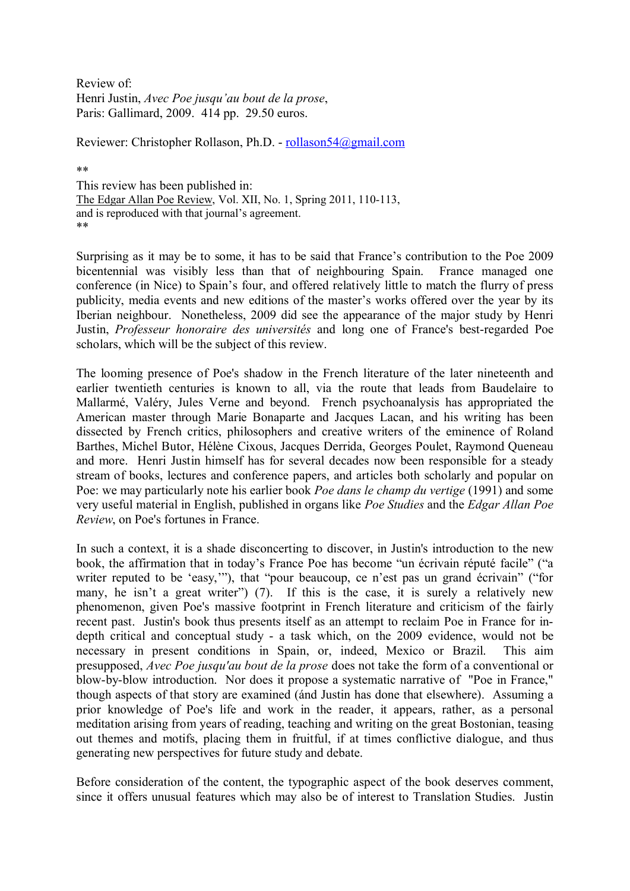Review of: Henri Justin, *Avec Poe jusqu'au bout de la prose*, Paris: Gallimard, 2009. 414 pp. 29.50 euros.

Reviewer: Christopher Rollason, Ph.D. - rollason54@gmail.com

\*\*

This review has been published in: The Edgar Allan Poe Review, Vol. XII, No. 1, Spring 2011, 110-113, and is reproduced with that journal's agreement. \*\*

Surprising as it may be to some, it has to be said that France's contribution to the Poe 2009 bicentennial was visibly less than that of neighbouring Spain. France managed one conference (in Nice) to Spain's four, and offered relatively little to match the flurry of press publicity, media events and new editions of the master's works offered over the year by its Iberian neighbour. Nonetheless, 2009 did see the appearance of the major study by Henri Justin, *Professeur honoraire des universités* and long one of France's best-regarded Poe scholars, which will be the subject of this review.

The looming presence of Poe's shadow in the French literature of the later nineteenth and earlier twentieth centuries is known to all, via the route that leads from Baudelaire to Mallarmé, Valéry, Jules Verne and beyond. French psychoanalysis has appropriated the American master through Marie Bonaparte and Jacques Lacan, and his writing has been dissected by French critics, philosophers and creative writers of the eminence of Roland Barthes, Michel Butor, Hélène Cixous, Jacques Derrida, Georges Poulet, Raymond Queneau and more. Henri Justin himself has for several decades now been responsible for a steady stream of books, lectures and conference papers, and articles both scholarly and popular on Poe: we may particularly note his earlier book *Poe dans le champ du vertige* (1991) and some very useful material in English, published in organs like *Poe Studies* and the *Edgar Allan Poe Review*, on Poe's fortunes in France.

In such a context, it is a shade disconcerting to discover, in Justin's introduction to the new book, the affirmation that in today's France Poe has become "un écrivain réputé facile" ("a writer reputed to be 'easy,'"), that "pour beaucoup, ce n'est pas un grand écrivain" ("for many, he isn't a great writer") (7). If this is the case, it is surely a relatively new phenomenon, given Poe's massive footprint in French literature and criticism of the fairly recent past. Justin's book thus presents itself as an attempt to reclaim Poe in France for indepth critical and conceptual study - a task which, on the 2009 evidence, would not be necessary in present conditions in Spain, or, indeed, Mexico or Brazil. This aim presupposed, *Avec Poe jusqu'au bout de la prose* does not take the form of a conventional or blow-by-blow introduction. Nor does it propose a systematic narrative of "Poe in France," though aspects of that story are examined (ánd Justin has done that elsewhere). Assuming a prior knowledge of Poe's life and work in the reader, it appears, rather, as a personal meditation arising from years of reading, teaching and writing on the great Bostonian, teasing out themes and motifs, placing them in fruitful, if at times conflictive dialogue, and thus generating new perspectives for future study and debate.

Before consideration of the content, the typographic aspect of the book deserves comment, since it offers unusual features which may also be of interest to Translation Studies. Justin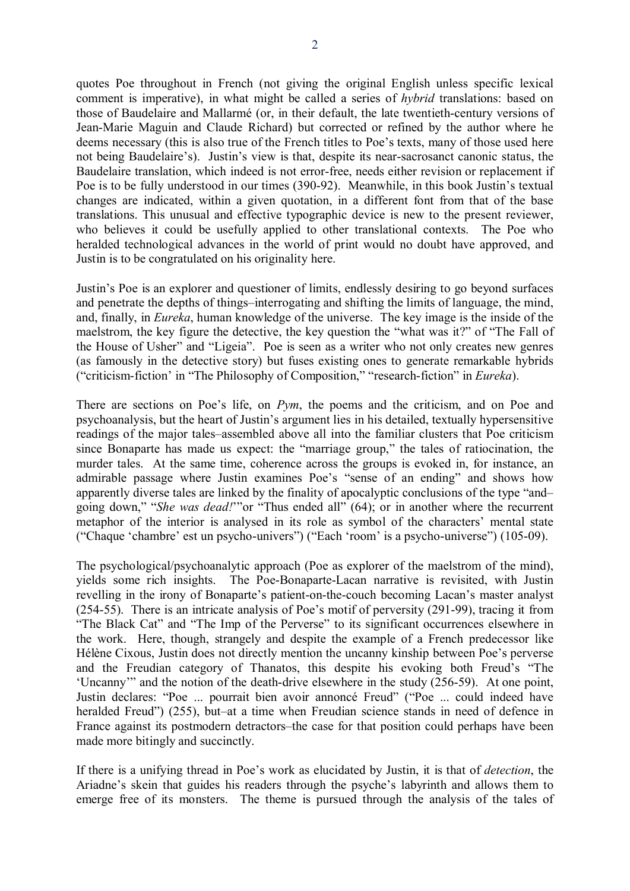quotes Poe throughout in French (not giving the original English unless specific lexical comment is imperative), in what might be called a series of *hybrid* translations: based on those of Baudelaire and Mallarmé (or, in their default, the late twentieth-century versions of Jean-Marie Maguin and Claude Richard) but corrected or refined by the author where he deems necessary (this is also true of the French titles to Poe's texts, many of those used here not being Baudelaire's). Justin's view is that, despite its near-sacrosanct canonic status, the Baudelaire translation, which indeed is not error-free, needs either revision or replacement if Poe is to be fully understood in our times (390-92). Meanwhile, in this book Justin's textual changes are indicated, within a given quotation, in a different font from that of the base translations. This unusual and effective typographic device is new to the present reviewer, who believes it could be usefully applied to other translational contexts. The Poe who heralded technological advances in the world of print would no doubt have approved, and Justin is to be congratulated on his originality here.

Justin's Poe is an explorer and questioner of limits, endlessly desiring to go beyond surfaces and penetrate the depths of things–interrogating and shifting the limits of language, the mind, and, finally, in *Eureka*, human knowledge of the universe. The key image is the inside of the maelstrom, the key figure the detective, the key question the "what was it?" of "The Fall of the House of Usher" and "Ligeia". Poe is seen as a writer who not only creates new genres (as famously in the detective story) but fuses existing ones to generate remarkable hybrids ("criticism-fiction' in "The Philosophy of Composition," "research-fiction" in *Eureka*).

There are sections on Poe's life, on *Pym*, the poems and the criticism, and on Poe and psychoanalysis, but the heart of Justin's argument lies in his detailed, textually hypersensitive readings of the major tales–assembled above all into the familiar clusters that Poe criticism since Bonaparte has made us expect: the "marriage group," the tales of ratiocination, the murder tales. At the same time, coherence across the groups is evoked in, for instance, an admirable passage where Justin examines Poe's "sense of an ending" and shows how apparently diverse tales are linked by the finality of apocalyptic conclusions of the type "and– going down," "*She was dead!*'"or "Thus ended all" (64); or in another where the recurrent metaphor of the interior is analysed in its role as symbol of the characters' mental state ("Chaque 'chambre' est un psycho-univers") ("Each 'room' is a psycho-universe") (105-09).

The psychological/psychoanalytic approach (Poe as explorer of the maelstrom of the mind), yields some rich insights. The Poe-Bonaparte-Lacan narrative is revisited, with Justin revelling in the irony of Bonaparte's patient-on-the-couch becoming Lacan's master analyst (254-55). There is an intricate analysis of Poe's motif of perversity (291-99), tracing it from "The Black Cat" and "The Imp of the Perverse" to its significant occurrences elsewhere in the work. Here, though, strangely and despite the example of a French predecessor like Hélène Cixous, Justin does not directly mention the uncanny kinship between Poe's perverse and the Freudian category of Thanatos, this despite his evoking both Freud's "The 'Uncanny'" and the notion of the death-drive elsewhere in the study (256-59). At one point, Justin declares: "Poe ... pourrait bien avoir annoncé Freud" ("Poe ... could indeed have heralded Freud") (255), but–at a time when Freudian science stands in need of defence in France against its postmodern detractors–the case for that position could perhaps have been made more bitingly and succinctly.

If there is a unifying thread in Poe's work as elucidated by Justin, it is that of *detection*, the Ariadne's skein that guides his readers through the psyche's labyrinth and allows them to emerge free of its monsters. The theme is pursued through the analysis of the tales of